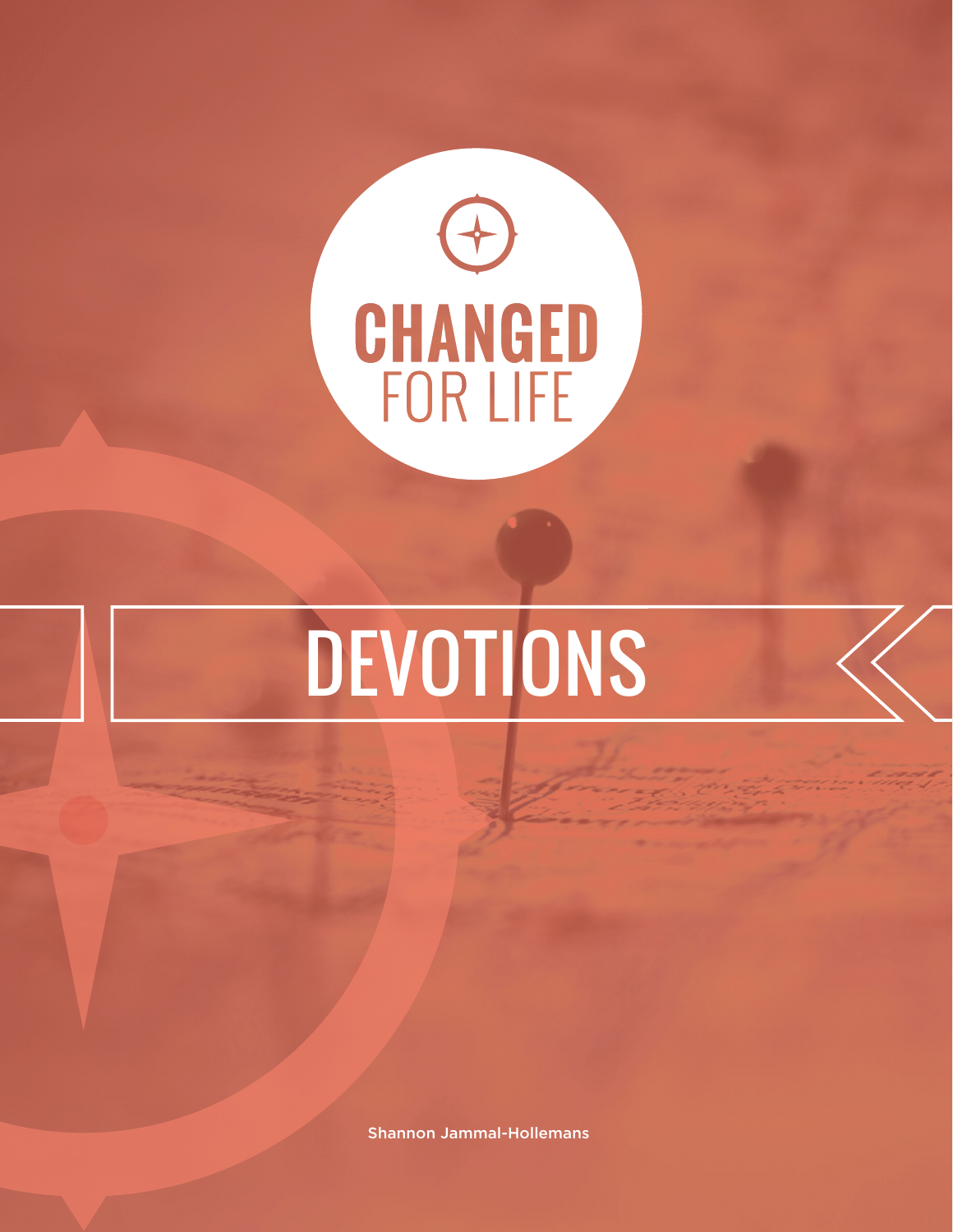

# DEVOTIONS

Shannon Jammal-Hollemans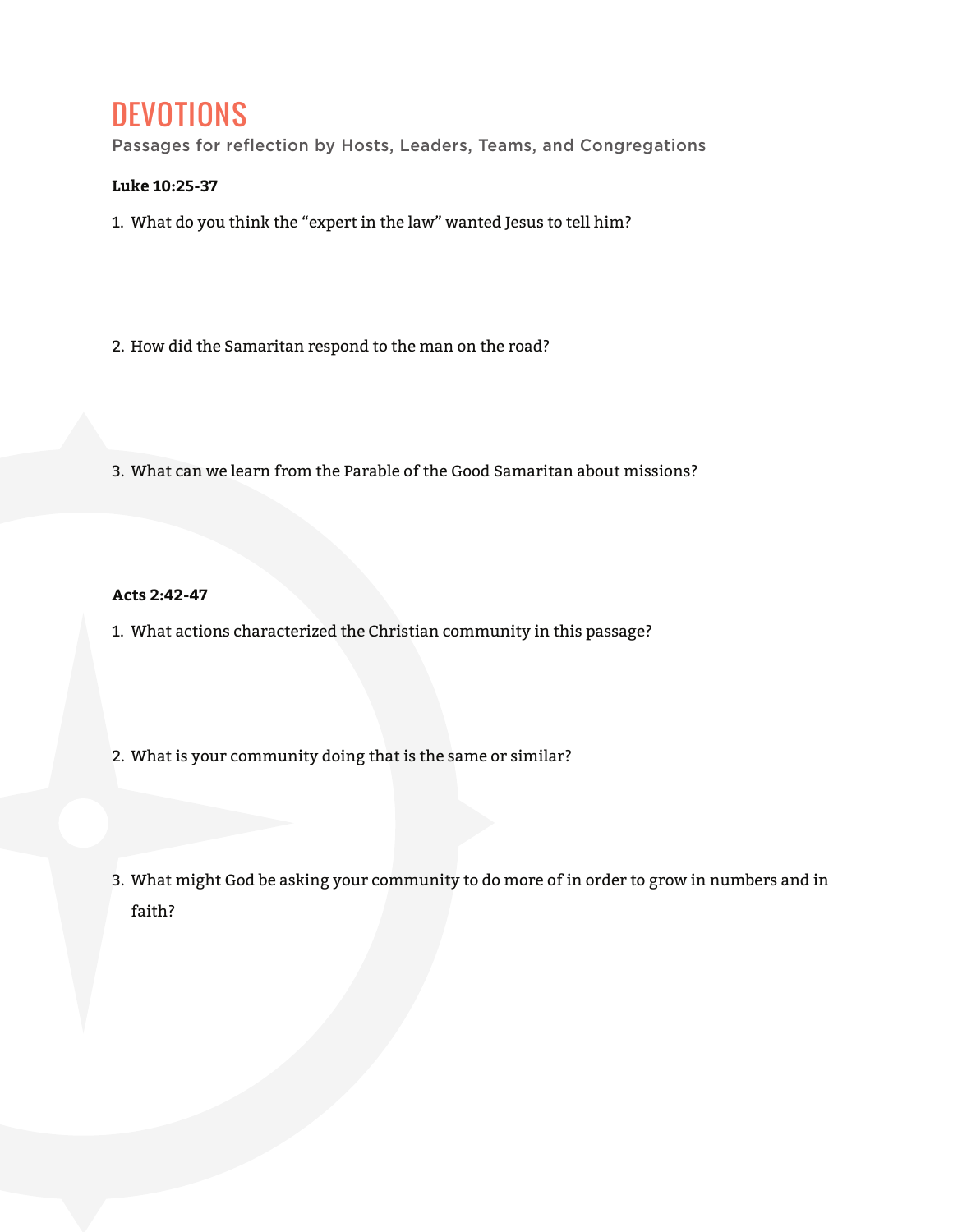## **DEVOTIONS**

Passages for reflection by Hosts, Leaders, Teams, and Congregations

#### **Luke 10:25-37**

- 1. What do you think the "expert in the law" wanted Jesus to tell him?
- 2. How did the Samaritan respond to the man on the road?
- 3. What can we learn from the Parable of the Good Samaritan about missions?

**Acts 2:42-47**

- 1. What actions characterized the Christian community in this passage?
- 2. What is your community doing that is the same or similar?
- 3. What might God be asking your community to do more of in order to grow in numbers and in faith?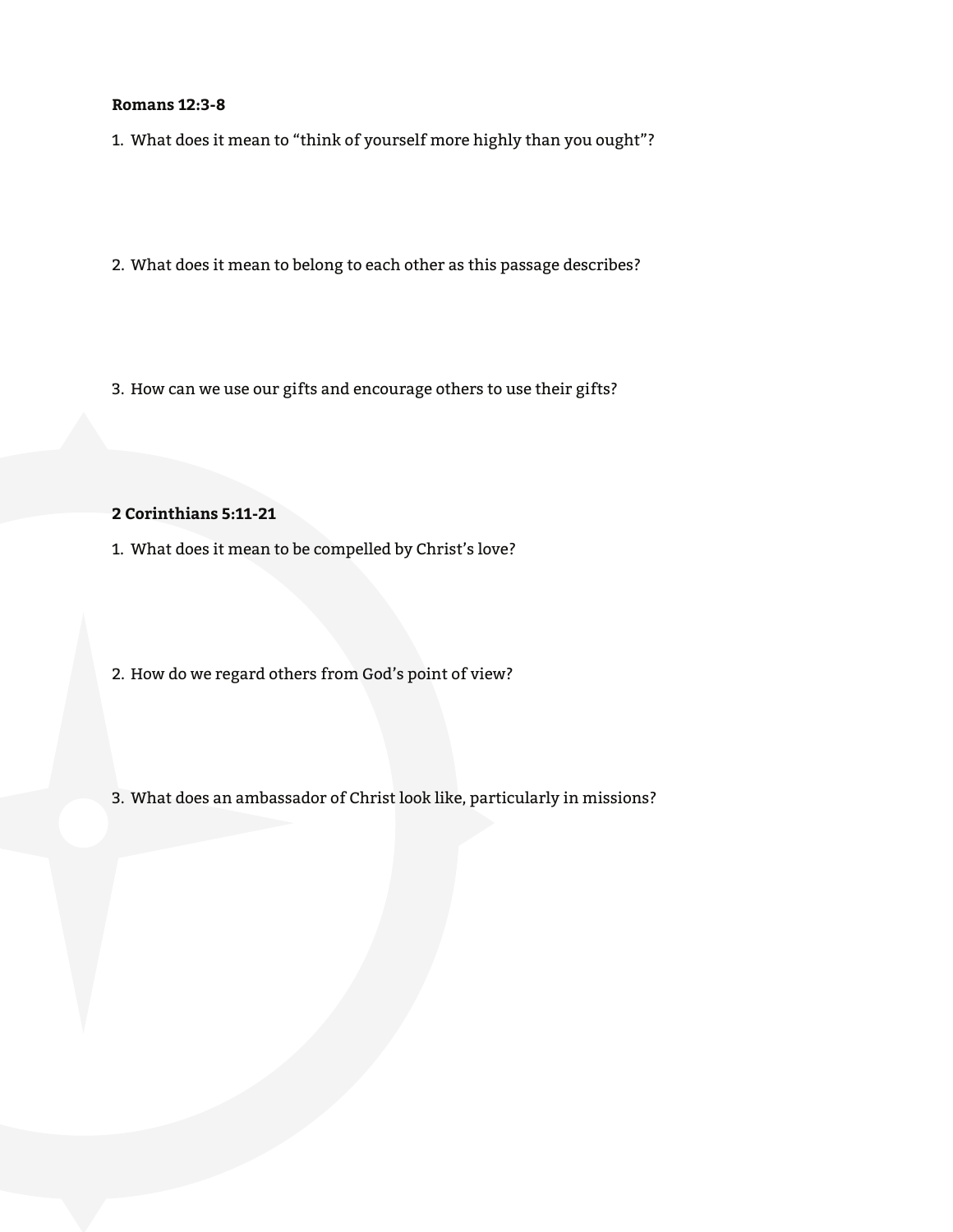#### **Romans 12:3-8**

- 1. What does it mean to "think of yourself more highly than you ought"?
- 2. What does it mean to belong to each other as this passage describes?
- 3. How can we use our gifts and encourage others to use their gifts?

#### **2 Corinthians 5:11-21**

- 1. What does it mean to be compelled by Christ's love?
- 2. How do we regard others from God's point of view?
- 3. What does an ambassador of Christ look like, particularly in missions?